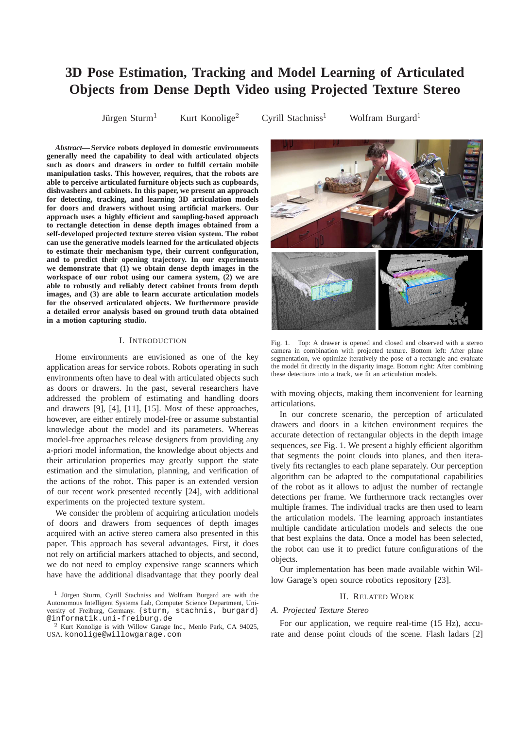# **3D Pose Estimation, Tracking and Model Learning of Articulated Objects from Dense Depth Video using Projected Texture Stereo**

Jürgen Sturm<sup>1</sup>

Kurt Konolige<sup>2</sup> Cyrill Stachniss<sup>1</sup> Wolfram Burgard<sup>1</sup>

*Abstract***— Service robots deployed in domestic environments generally need the capability to deal with articulated objects such as doors and drawers in order to fulfill certain mobile manipulation tasks. This however, requires, that the robots are able to perceive articulated furniture objects such as cupboards, dishwashers and cabinets. In this paper, we present an approach for detecting, tracking, and learning 3D articulation models for doors and drawers without using artificial markers. Our approach uses a highly efficient and sampling-based approach to rectangle detection in dense depth images obtained from a self-developed projected texture stereo vision system. The robot can use the generative models learned for the articulated objects to estimate their mechanism type, their current configuration, and to predict their opening trajectory. In our experiments we demonstrate that (1) we obtain dense depth images in the workspace of our robot using our camera system, (2) we are able to robustly and reliably detect cabinet fronts from depth images, and (3) are able to learn accurate articulation models for the observed articulated objects. We furthermore provide a detailed error analysis based on ground truth data obtained in a motion capturing studio.**

## I. INTRODUCTION

Home environments are envisioned as one of the key application areas for service robots. Robots operating in such environments often have to deal with articulated objects such as doors or drawers. In the past, several researchers have addressed the problem of estimating and handling doors and drawers [9], [4], [11], [15]. Most of these approaches, however, are either entirely model-free or assume substantial knowledge about the model and its parameters. Whereas model-free approaches release designers from providing any a-priori model information, the knowledge about objects and their articulation properties may greatly support the state estimation and the simulation, planning, and verification of the actions of the robot. This paper is an extended version of our recent work presented recently [24], with additional experiments on the projected texture system.

We consider the problem of acquiring articulation models of doors and drawers from sequences of depth images acquired with an active stereo camera also presented in this paper. This approach has several advantages. First, it does not rely on artificial markers attached to objects, and second, we do not need to employ expensive range scanners which have have the additional disadvantage that they poorly deal

<sup>1</sup> Jürgen Sturm, Cyrill Stachniss and Wolfram Burgard are with the Autonomous Intelligent Systems Lab, Computer Science Department, University of Freiburg, Germany. {sturm, stachnis, burgard}

@informatik.uni-freiburg.de <sup>2</sup> Kurt Konolige is with Willow Garage Inc., Menlo Park, CA 94025, USA. konolige@willowgarage.com



Fig. 1. Top: A drawer is opened and closed and observed with a stereo camera in combination with projected texture. Bottom left: After plane segmentation, we optimize iteratively the pose of a rectangle and evaluate the model fit directly in the disparity image. Bottom right: After combining these detections into a track, we fit an articulation models.

with moving objects, making them inconvenient for learning articulations.

In our concrete scenario, the perception of articulated drawers and doors in a kitchen environment requires the accurate detection of rectangular objects in the depth image sequences, see Fig. 1. We present a highly efficient algorithm that segments the point clouds into planes, and then iteratively fits rectangles to each plane separately. Our perception algorithm can be adapted to the computational capabilities of the robot as it allows to adjust the number of rectangle detections per frame. We furthermore track rectangles over multiple frames. The individual tracks are then used to learn the articulation models. The learning approach instantiates multiple candidate articulation models and selects the one that best explains the data. Once a model has been selected, the robot can use it to predict future configurations of the objects.

Our implementation has been made available within Willow Garage's open source robotics repository [23].

#### II. RELATED WORK

# *A. Projected Texture Stereo*

For our application, we require real-time (15 Hz), accurate and dense point clouds of the scene. Flash ladars [2]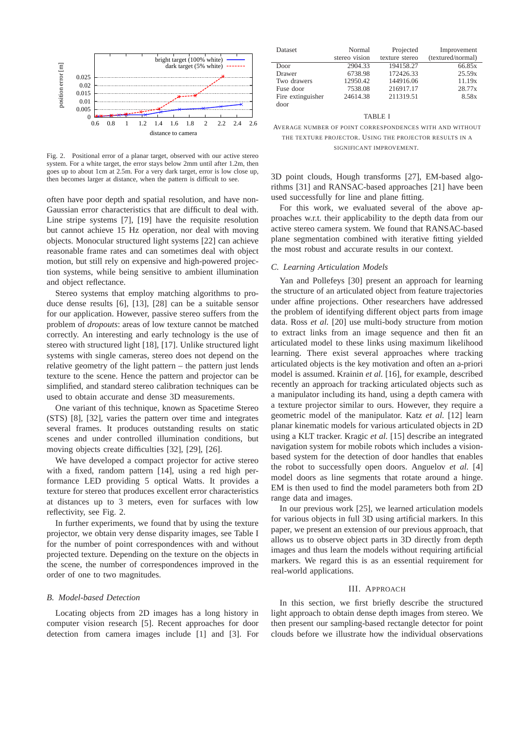

Fig. 2. Positional error of a planar target, observed with our active stereo system. For a white target, the error stays below 2mm until after 1.2m, then goes up to about 1cm at 2.5m. For a very dark target, error is low close up, then becomes larger at distance, when the pattern is difficult to see.

often have poor depth and spatial resolution, and have non-Gaussian error characteristics that are difficult to deal with. Line stripe systems [7], [19] have the requisite resolution but cannot achieve 15 Hz operation, nor deal with moving objects. Monocular structured light systems [22] can achieve reasonable frame rates and can sometimes deal with object motion, but still rely on expensive and high-powered projection systems, while being sensitive to ambient illumination and object reflectance.

Stereo systems that employ matching algorithms to produce dense results [6], [13], [28] can be a suitable sensor for our application. However, passive stereo suffers from the problem of *dropouts*: areas of low texture cannot be matched correctly. An interesting and early technology is the use of stereo with structured light [18], [17]. Unlike structured light systems with single cameras, stereo does not depend on the relative geometry of the light pattern – the pattern just lends texture to the scene. Hence the pattern and projector can be simplified, and standard stereo calibration techniques can be used to obtain accurate and dense 3D measurements.

One variant of this technique, known as Spacetime Stereo (STS) [8], [32], varies the pattern over time and integrates several frames. It produces outstanding results on static scenes and under controlled illumination conditions, but moving objects create difficulties [32], [29], [26].

We have developed a compact projector for active stereo with a fixed, random pattern [14], using a red high performance LED providing 5 optical Watts. It provides a texture for stereo that produces excellent error characteristics at distances up to 3 meters, even for surfaces with low reflectivity, see Fig. 2.

In further experiments, we found that by using the texture projector, we obtain very dense disparity images, see Table I for the number of point correspondences with and without projected texture. Depending on the texture on the objects in the scene, the number of correspondences improved in the order of one to two magnitudes.

### *B. Model-based Detection*

Locating objects from 2D images has a long history in computer vision research [5]. Recent approaches for door detection from camera images include [1] and [3]. For

| Dataset           | Normal        | Projected      | Improvement       |
|-------------------|---------------|----------------|-------------------|
|                   | stereo vision | texture stereo | (textured/normal) |
| Door              | 2904.33       | 194158.27      | 66.85x            |
| Drawer            | 6738.98       | 172426.33      | 25.59x            |
| Two drawers       | 12950.42      | 144916.06      | 11.19x            |
| Fuse door         | 7538.08       | 216917.17      | 28.77x            |
| Fire extinguisher | 24614.38      | 211319.51      | 8.58x             |
| door              |               |                |                   |

#### TABLE I

AVERAGE NUMBER OF POINT CORRESPONDENCES WITH AND WITHOUT THE TEXTURE PROJECTOR. USING THE PROJECTOR RESULTS IN A SIGNIFICANT IMPROVEMENT.

3D point clouds, Hough transforms [27], EM-based algorithms [31] and RANSAC-based approaches [21] have been used successfully for line and plane fitting.

For this work, we evaluated several of the above approaches w.r.t. their applicability to the depth data from our active stereo camera system. We found that RANSAC-based plane segmentation combined with iterative fitting yielded the most robust and accurate results in our context.

#### *C. Learning Articulation Models*

Yan and Pollefeys [30] present an approach for learning the structure of an articulated object from feature trajectories under affine projections. Other researchers have addressed the problem of identifying different object parts from image data. Ross *et al.* [20] use multi-body structure from motion to extract links from an image sequence and then fit an articulated model to these links using maximum likelihood learning. There exist several approaches where tracking articulated objects is the key motivation and often an a-priori model is assumed. Krainin *et al.* [16], for example, described recently an approach for tracking articulated objects such as a manipulator including its hand, using a depth camera with a texture projector similar to ours. However, they require a geometric model of the manipulator. Katz *et al.* [12] learn planar kinematic models for various articulated objects in 2D using a KLT tracker. Kragic *et al.* [15] describe an integrated navigation system for mobile robots which includes a visionbased system for the detection of door handles that enables the robot to successfully open doors. Anguelov *et al.* [4] model doors as line segments that rotate around a hinge. EM is then used to find the model parameters both from 2D range data and images.

In our previous work [25], we learned articulation models for various objects in full 3D using artificial markers. In this paper, we present an extension of our previous approach, that allows us to observe object parts in 3D directly from depth images and thus learn the models without requiring artificial markers. We regard this is as an essential requirement for real-world applications.

#### III. APPROACH

In this section, we first briefly describe the structured light approach to obtain dense depth images from stereo. We then present our sampling-based rectangle detector for point clouds before we illustrate how the individual observations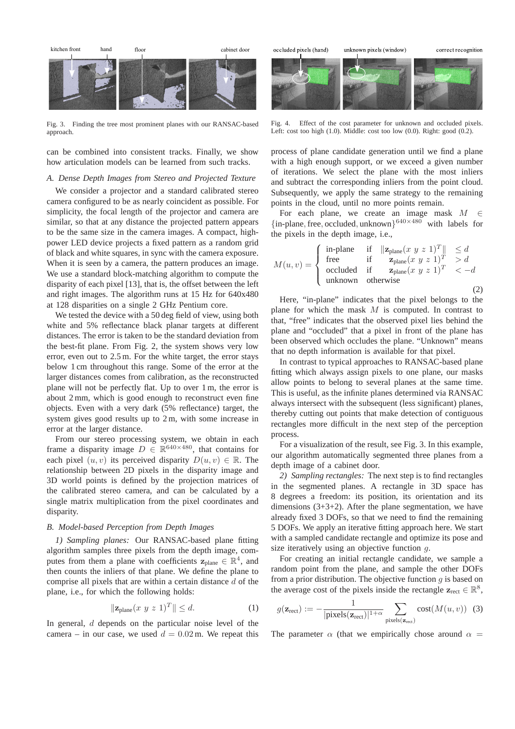

Fig. 3. Finding the tree most prominent planes with our RANSAC-based approach.

can be combined into consistent tracks. Finally, we show how articulation models can be learned from such tracks.

# *A. Dense Depth Images from Stereo and Projected Texture*

We consider a projector and a standard calibrated stereo camera configured to be as nearly coincident as possible. For simplicity, the focal length of the projector and camera are similar, so that at any distance the projected pattern appears to be the same size in the camera images. A compact, highpower LED device projects a fixed pattern as a random grid of black and white squares, in sync with the camera exposure. When it is seen by a camera, the pattern produces an image. We use a standard block-matching algorithm to compute the disparity of each pixel [13], that is, the offset between the left and right images. The algorithm runs at 15 Hz for 640x480 at 128 disparities on a single 2 GHz Pentium core.

We tested the device with a 50 deg field of view, using both white and 5% reflectance black planar targets at different distances. The error is taken to be the standard deviation from the best-fit plane. From Fig. 2, the system shows very low error, even out to 2.5 m. For the white target, the error stays below 1 cm throughout this range. Some of the error at the larger distances comes from calibration, as the reconstructed plane will not be perfectly flat. Up to over 1 m, the error is about 2 mm, which is good enough to reconstruct even fine objects. Even with a very dark (5% reflectance) target, the system gives good results up to 2 m, with some increase in error at the larger distance.

From our stereo processing system, we obtain in each frame a disparity image  $D \in \mathbb{R}^{640 \times 480}$ , that contains for each pixel  $(u, v)$  its perceived disparity  $D(u, v) \in \mathbb{R}$ . The relationship between 2D pixels in the disparity image and 3D world points is defined by the projection matrices of the calibrated stereo camera, and can be calculated by a single matrix multiplication from the pixel coordinates and disparity.

# *B. Model-based Perception from Depth Images*

*1) Sampling planes:* Our RANSAC-based plane fitting algorithm samples three pixels from the depth image, computes from them a plane with coefficients  $\mathbf{z}_{\text{plane}} \in \mathbb{R}^4$ , and then counts the inliers of that plane. We define the plane to comprise all pixels that are within a certain distance  $d$  of the plane, i.e., for which the following holds:

$$
\|\mathbf{z}_{\text{plane}}(x \ y \ z \ 1)^T\| \le d. \tag{1}
$$

In general, d depends on the particular noise level of the camera – in our case, we used  $d = 0.02$  m. We repeat this



Fig. 4. Effect of the cost parameter for unknown and occluded pixels. Left: cost too high  $(1.0)$ . Middle: cost too low  $(0.0)$ . Right: good  $(0.2)$ .

process of plane candidate generation until we find a plane with a high enough support, or we exceed a given number of iterations. We select the plane with the most inliers and subtract the corresponding inliers from the point cloud. Subsequently, we apply the same strategy to the remaining points in the cloud, until no more points remain.

For each plane, we create an image mask  $M \in$  ${\{in\}}$ -plane, free, occluded, unknown ${\}^{640\times480}$  with labels for the pixels in the depth image, i.e.,

$$
M(u, v) = \begin{cases} \text{ in-plane} & \text{if } ||\mathbf{z}_{\text{plane}}(x \ y \ z \ 1)^T \|| \leq d \\ \text{free} & \text{if } \mathbf{z}_{\text{plane}}(x \ y \ z \ 1)^T > d \\ \text{occluded} & \text{if } \mathbf{z}_{\text{plane}}(x \ y \ z \ 1)^T < -d \\ \text{unknown} & \text{otherwise} \end{cases} \tag{2}
$$

Here, "in-plane" indicates that the pixel belongs to the plane for which the mask  $M$  is computed. In contrast to that, "free" indicates that the observed pixel lies behind the plane and "occluded" that a pixel in front of the plane has been observed which occludes the plane. "Unknown" means that no depth information is available for that pixel.

In contrast to typical approaches to RANSAC-based plane fitting which always assign pixels to one plane, our masks allow points to belong to several planes at the same time. This is useful, as the infinite planes determined via RANSAC always intersect with the subsequent (less significant) planes, thereby cutting out points that make detection of contiguous rectangles more difficult in the next step of the perception process.

For a visualization of the result, see Fig. 3. In this example, our algorithm automatically segmented three planes from a depth image of a cabinet door.

*2) Sampling rectangles:* The next step is to find rectangles in the segmented planes. A rectangle in 3D space has 8 degrees a freedom: its position, its orientation and its dimensions  $(3+3+2)$ . After the plane segmentation, we have already fixed 3 DOFs, so that we need to find the remaining 5 DOFs. We apply an iterative fitting approach here. We start with a sampled candidate rectangle and optimize its pose and size iteratively using an objective function g.

For creating an initial rectangle candidate, we sample a random point from the plane, and sample the other DOFs from a prior distribution. The objective function  $q$  is based on the average cost of the pixels inside the rectangle  $\mathbf{z}_{\text{rect}} \in \mathbb{R}^8$ ,

$$
g(\mathbf{z}_{\text{rect}}) := -\frac{1}{|\text{pixels}(\mathbf{z}_{\text{rect}})|^{1+\alpha}} \sum_{\text{pixels}(\mathbf{z}_{\text{rect}})} \text{cost}(M(u, v)) \quad (3)
$$

The parameter  $\alpha$  (that we empirically chose around  $\alpha =$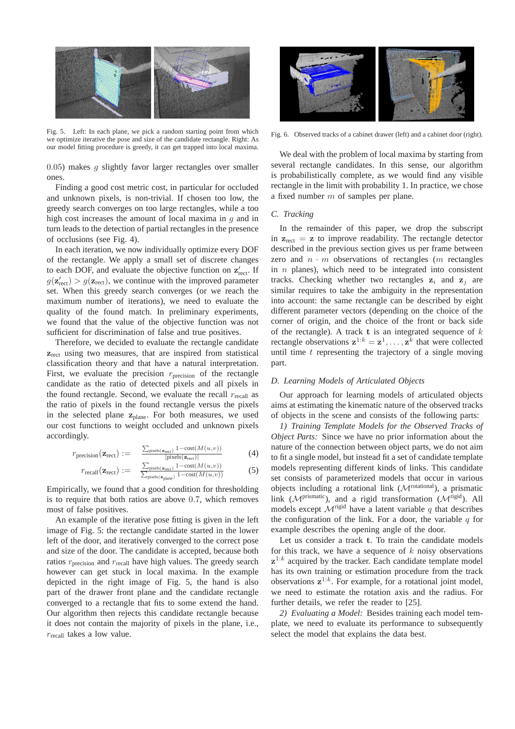

Fig. 5. Left: In each plane, we pick a random starting point from which we optimize iterative the pose and size of the candidate rectangle. Right: As our model fitting procedure is greedy, it can get trapped into local maxima.

 $0.05$ ) makes q slightly favor larger rectangles over smaller ones.

Finding a good cost metric cost, in particular for occluded and unknown pixels, is non-trivial. If chosen too low, the greedy search converges on too large rectangles, while a too high cost increases the amount of local maxima in  $q$  and in turn leads to the detection of partial rectangles in the presence of occlusions (see Fig. 4).

In each iteration, we now individually optimize every DOF of the rectangle. We apply a small set of discrete changes to each DOF, and evaluate the objective function on  $z'_{\text{rect}}$ . If  $g(\mathbf{z}'_{\text{rect}}) > g(\mathbf{z}_{\text{rect}})$ , we continue with the improved parameter set. When this greedy search converges (or we reach the maximum number of iterations), we need to evaluate the quality of the found match. In preliminary experiments, we found that the value of the objective function was not sufficient for discrimination of false and true positives.

Therefore, we decided to evaluate the rectangle candidate  $z<sub>rect</sub>$  using two measures, that are inspired from statistical classification theory and that have a natural interpretation. First, we evaluate the precision  $r_{\text{precision}}$  of the rectangle candidate as the ratio of detected pixels and all pixels in the found rectangle. Second, we evaluate the recall  $r_{\text{recall}}$  as the ratio of pixels in the found rectangle versus the pixels in the selected plane  $z_{plane}$ . For both measures, we used our cost functions to weight occluded and unknown pixels accordingly.

$$
r_{\text{precision}}(\mathbf{z}_{\text{rect}}) := \frac{\sum_{\text{pixels}(\mathbf{z}_{\text{rect}})} 1 - \text{cost}(M(u, v))}{|\text{pixels}(\mathbf{z}_{\text{rect}})|} \tag{4}
$$

$$
r_{\text{p}}(z_{\text{rect}}) = \sum_{\text{pixels}(z_{\text{rect}})} 1 - \text{cost}(M(u, v))
$$
(5)

$$
r_{\text{recall}}(\mathbf{z}_{\text{rect}}) := \frac{\sum_{\text{pixels}(\mathbf{z}_{\text{rect}})} 1 - \text{cost}(M(u, v))}{\sum_{\text{pixels}(\mathbf{z}_{\text{plane}})} 1 - \text{cost}(M(u, v))}
$$
(5)

Empirically, we found that a good condition for thresholding is to require that both ratios are above 0.7, which removes most of false positives.

An example of the iterative pose fitting is given in the left image of Fig. 5: the rectangle candidate started in the lower left of the door, and iteratively converged to the correct pose and size of the door. The candidate is accepted, because both ratios  $r_{\text{precision}}$  and  $r_{\text{recall}}$  have high values. The greedy search however can get stuck in local maxima. In the example depicted in the right image of Fig. 5, the hand is also part of the drawer front plane and the candidate rectangle converged to a rectangle that fits to some extend the hand. Our algorithm then rejects this candidate rectangle because it does not contain the majority of pixels in the plane, i.e.,  $r_{\text{recall}}$  takes a low value.



Fig. 6. Observed tracks of a cabinet drawer (left) and a cabinet door (right).

We deal with the problem of local maxima by starting from several rectangle candidates. In this sense, our algorithm is probabilistically complete, as we would find any visible rectangle in the limit with probability 1. In practice, we chose a fixed number m of samples per plane.

#### *C. Tracking*

In the remainder of this paper, we drop the subscript in  $z_{\text{rect}} = z$  to improve readability. The rectangle detector described in the previous section gives us per frame between zero and  $n \cdot m$  observations of rectangles (*m* rectangles in  $n$  planes), which need to be integrated into consistent tracks. Checking whether two rectangles  $z_i$  and  $z_j$  are similar requires to take the ambiguity in the representation into account: the same rectangle can be described by eight different parameter vectors (depending on the choice of the corner of origin, and the choice of the front or back side of the rectangle). A track  $t$  is an integrated sequence of  $k$ rectangle observations  $z^{1:k} = z^1, \ldots, z^k$  that were collected until time  $t$  representing the trajectory of a single moving part.

#### *D. Learning Models of Articulated Objects*

Our approach for learning models of articulated objects aims at estimating the kinematic nature of the observed tracks of objects in the scene and consists of the following parts:

*1) Training Template Models for the Observed Tracks of Object Parts:* Since we have no prior information about the nature of the connection between object parts, we do not aim to fit a single model, but instead fit a set of candidate template models representing different kinds of links. This candidate set consists of parameterized models that occur in various objects including a rotational link  $(M^{\text{rotational}})$ , a prismatic link ( $\mathcal{M}^{\text{prismatic}}$ ), and a rigid transformation ( $\mathcal{M}^{\text{rigid}}$ ). All models except  $\mathcal{M}^{\text{rigid}}$  have a latent variable q that describes the configuration of the link. For a door, the variable  $q$  for example describes the opening angle of the door.

Let us consider a track t. To train the candidate models for this track, we have a sequence of  $k$  noisy observations  $z^{1:k}$  acquired by the tracker. Each candidate template model has its own training or estimation procedure from the track observations  $z^{1:k}$ . For example, for a rotational joint model, we need to estimate the rotation axis and the radius. For further details, we refer the reader to [25].

*2) Evaluating a Model:* Besides training each model template, we need to evaluate its performance to subsequently select the model that explains the data best.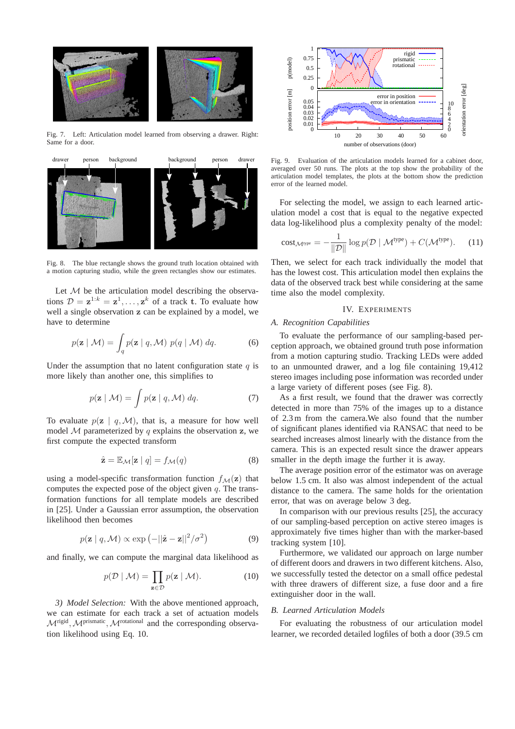

Fig. 7. Left: Articulation model learned from observing a drawer. Right: Same for a door.



Fig. 8. The blue rectangle shows the ground truth location obtained with a motion capturing studio, while the green rectangles show our estimates.

Let  $M$  be the articulation model describing the observations  $\mathcal{D} = \mathbf{z}^{1:k} = \mathbf{z}^1, \dots, \mathbf{z}^k$  of a track t. To evaluate how well a single observation z can be explained by a model, we have to determine

$$
p(\mathbf{z} \mid \mathcal{M}) = \int_{q} p(\mathbf{z} \mid q, \mathcal{M}) \ p(q \mid \mathcal{M}) \ dq.
$$
 (6)

Under the assumption that no latent configuration state  $q$  is more likely than another one, this simplifies to

$$
p(\mathbf{z} \mid \mathcal{M}) = \int p(\mathbf{z} \mid q, \mathcal{M}) dq.
$$
 (7)

To evaluate  $p(\mathbf{z} \mid q, \mathcal{M})$ , that is, a measure for how well model  $M$  parameterized by q explains the observation z, we first compute the expected transform

$$
\hat{\mathbf{z}} = \mathbb{E}_{\mathcal{M}}[\mathbf{z} \mid q] = f_{\mathcal{M}}(q) \tag{8}
$$

using a model-specific transformation function  $f_{\mathcal{M}}(z)$  that computes the expected pose of the object given  $q$ . The transformation functions for all template models are described in [25]. Under a Gaussian error assumption, the observation likelihood then becomes

$$
p(\mathbf{z} \mid q, \mathcal{M}) \propto \exp\left(-||\hat{\mathbf{z}} - \mathbf{z}||^2/\sigma^2\right) \tag{9}
$$

and finally, we can compute the marginal data likelihood as

$$
p(\mathcal{D} \mid \mathcal{M}) = \prod_{\mathbf{z} \in \mathcal{D}} p(\mathbf{z} \mid \mathcal{M}). \tag{10}
$$

*3) Model Selection:* With the above mentioned approach, we can estimate for each track a set of actuation models  $\mathcal{M}^{\text{rigid}}$ ,  $\mathcal{M}^{\text{prismatic}}$ ,  $\mathcal{M}^{\text{rotational}}$  and the corresponding observation likelihood using Eq. 10.



Fig. 9. Evaluation of the articulation models learned for a cabinet door, averaged over 50 runs. The plots at the top show the probability of the articulation model templates, the plots at the bottom show the prediction error of the learned model.

For selecting the model, we assign to each learned articulation model a cost that is equal to the negative expected data log-likelihood plus a complexity penalty of the model:

$$
cost_{\mathcal{M}^{type}} = -\frac{1}{\|\mathcal{D}\|} \log p(\mathcal{D} \mid \mathcal{M}^{type}) + C(\mathcal{M}^{type}). \tag{11}
$$

Then, we select for each track individually the model that has the lowest cost. This articulation model then explains the data of the observed track best while considering at the same time also the model complexity.

# IV. EXPERIMENTS

# *A. Recognition Capabilities*

To evaluate the performance of our sampling-based perception approach, we obtained ground truth pose information from a motion capturing studio. Tracking LEDs were added to an unmounted drawer, and a log file containing 19,412 stereo images including pose information was recorded under a large variety of different poses (see Fig. 8).

As a first result, we found that the drawer was correctly detected in more than 75% of the images up to a distance of 2.3 m from the camera.We also found that the number of significant planes identified via RANSAC that need to be searched increases almost linearly with the distance from the camera. This is an expected result since the drawer appears smaller in the depth image the further it is away.

The average position error of the estimator was on average below 1.5 cm. It also was almost independent of the actual distance to the camera. The same holds for the orientation error, that was on average below 3 deg.

In comparison with our previous results [25], the accuracy of our sampling-based perception on active stereo images is approximately five times higher than with the marker-based tracking system [10].

Furthermore, we validated our approach on large number of different doors and drawers in two different kitchens. Also, we successfully tested the detector on a small office pedestal with three drawers of different size, a fuse door and a fire extinguisher door in the wall.

## *B. Learned Articulation Models*

For evaluating the robustness of our articulation model learner, we recorded detailed logfiles of both a door (39.5 cm